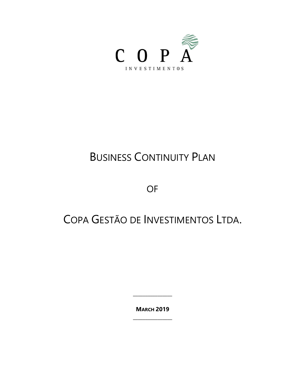

# **BUSINESS CONTINUITY PLAN**

OF

## COPA GESTÃO DE INVESTIMENTOS LTDA.

**MARCH 2019**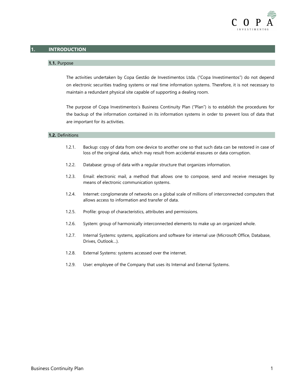

### **1. INTRODUCTION**

#### **1.1.** Purpose

The activities undertaken by Copa Gestão de Investimentos Ltda. ("Copa Investimentos") do not depend on electronic securities trading systems or real time information systems. Therefore, it is not necessary to maintain a redundant physical site capable of supporting a dealing room.

The purpose of Copa Investimentos's Business Continuity Plan ("Plan") is to establish the procedures for the backup of the information contained in its information systems in order to prevent loss of data that are important for its activities.

#### **1.2.** Definitions

- 1.2.1. Backup: copy of data from one device to another one so that such data can be restored in case of loss of the original data, which may result from accidental erasures or data corruption.
- 1.2.2. Database: group of data with a regular structure that organizes information.
- 1.2.3. Email: electronic mail, a method that allows one to compose, send and receive messages by means of electronic communication systems.
- 1.2.4. Internet: conglomerate of networks on a global scale of millions of interconnected computers that allows access to information and transfer of data.
- 1.2.5. Profile: group of characteristics, attributes and permissions.
- 1.2.6. System: group of harmonically interconnected elements to make up an organized whole.
- 1.2.7. Internal Systems: systems, applications and software for internal use (Microsoft Office, Database, Drives, Outlook…).
- 1.2.8. External Systems: systems accessed over the internet.
- 1.2.9. User: employee of the Company that uses its Internal and External Systems.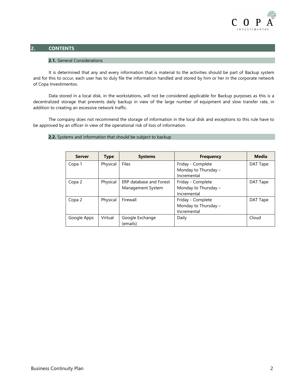

## **2. CONTENTS**

#### **2.1.** General Considerations

It is determined that any and every information that is material to the activities should be part of Backup system and for this to occur, each user has to duly file the information handled and stored by him or her in the corporate network of Copa Investimentos.

Data stored in a local disk, in the workstations, will not be considered applicable for Backup purposes as this is a decentralized storage that prevents daily backup in view of the large number of equipment and slow transfer rate, in addition to creating an excessive network traffic.

The company does not recommend the storage of information in the local disk and exceptions to this rule have to be approved by an officer in view of the operational risk of loss of information.

#### **2.2.** Systems and information that should be subject to backup

| <b>Server</b> | <b>Type</b> | <b>Systems</b>                               | <b>Frequency</b>                                         | <b>Media</b> |
|---------------|-------------|----------------------------------------------|----------------------------------------------------------|--------------|
| Copa 1        | Physical    | Files                                        | Friday - Complete<br>Monday to Thursday -<br>Incremental | DAT Tape     |
| Copa 2        | Physical    | ERP database and Forest<br>Management System | Friday - Complete<br>Monday to Thursday -<br>Incremental | DAT Tape     |
| Copa 2        | Physical    | Firewall                                     | Friday - Complete<br>Monday to Thursday -<br>Incremental | DAT Tape     |
| Google Apps   | Virtual     | Google Exchange<br>(emails)                  | Daily                                                    | Cloud        |